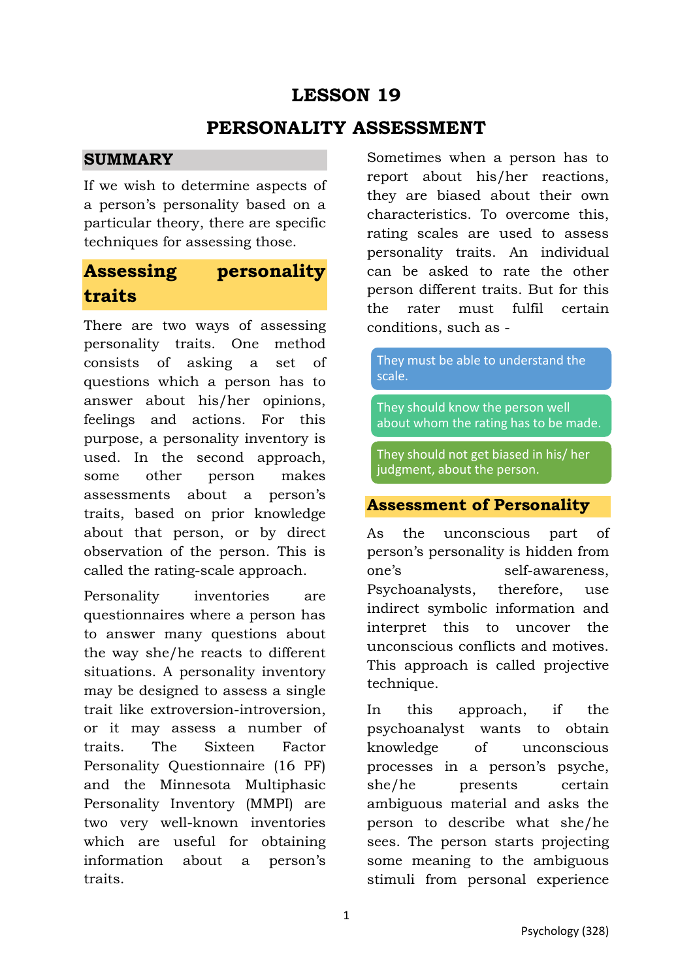## **LESSON 19**

### **PERSONALITY ASSESSMENT**

#### **SUMMARY**

If we wish to determine aspects of a person's personality based on a particular theory, there are specific techniques for assessing those.

# **Assessing personality traits**

There are two ways of assessing personality traits. One method consists of asking a set of questions which a person has to answer about his/her opinions, feelings and actions. For this purpose, a personality inventory is used. In the second approach, some other person makes assessments about a person's traits, based on prior knowledge about that person, or by direct observation of the person. This is called the rating-scale approach.

Personality inventories are questionnaires where a person has to answer many questions about the way she/he reacts to different situations. A personality inventory may be designed to assess a single trait like extroversion-introversion, or it may assess a number of traits. The Sixteen Factor Personality Questionnaire (16 PF) and the Minnesota Multiphasic Personality Inventory (MMPI) are two very well-known inventories which are useful for obtaining information about a person's traits.

Sometimes when a person has to report about his/her reactions, they are biased about their own characteristics. To overcome this, rating scales are used to assess personality traits. An individual can be asked to rate the other person different traits. But for this the rater must fulfil certain conditions, such as -

They must be able to understand the scale.

They should know the person well about whom the rating has to be made.

They should not get biased in his/ her judgment, about the person.

#### **Assessment of Personality**

As the unconscious part of person's personality is hidden from one's self-awareness, Psychoanalysts, therefore, use indirect symbolic information and interpret this to uncover the unconscious conflicts and motives. This approach is called projective technique.

In this approach, if the psychoanalyst wants to obtain knowledge of unconscious processes in a person's psyche, she/he presents certain ambiguous material and asks the person to describe what she/he sees. The person starts projecting some meaning to the ambiguous stimuli from personal experience